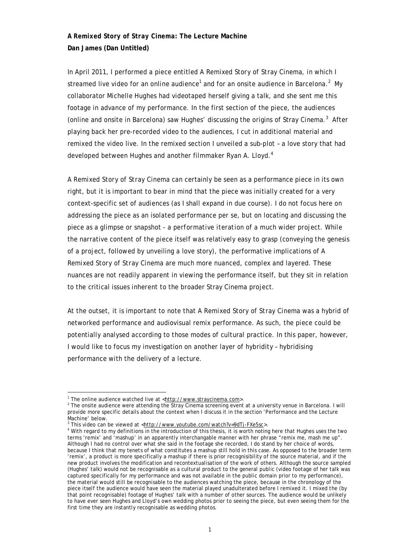# *A Remixed Story of Stray Cinema***: The Lecture Machine Dan James (Dan Untitled)**

In April 2011, I performed a piece entitled *A Remixed Story of Stray Cinema*, in which I streamed live video for an online audience<sup>1</sup> and for an onsite audience in Barcelona.<sup>2</sup> My collaborator Michelle Hughes had videotaped herself giving a talk, and she sent me this footage in advance of my performance. In the first section of the piece, the audiences (online and onsite in Barcelona) saw Hughes' discussing the origins of Stray Cinema.<sup>3</sup> After playing back her pre-recorded video to the audiences, I cut in additional material and remixed the video live. In the remixed section I unveiled a sub-plot – a love story that had developed between Hughes and another filmmaker Ryan A. Lloyd.<sup>4</sup>

*A Remixed Story of Stray Cinema* can certainly be seen as a performance piece in its own right, but it is important to bear in mind that the piece was initially created for a very context-specific set of audiences (as I shall expand in due course). I do not focus here on addressing the piece as an isolated performance *per se*, but on locating and discussing the piece as a glimpse or snapshot - a *performative iteration* of a much wider project. While the narrative content of the piece itself was relatively easy to grasp (conveying the genesis of a project, followed by unveiling a love story), the performative implications of *A Remixed Story of Stray Cinema* are much more nuanced, complex and layered. These nuances are not readily apparent in viewing the performance itself, but they sit in relation to the critical issues inherent to the broader Stray Cinema project.

At the outset, it is important to note that *A Remixed Story of Stray Cinema* was a hybrid of networked performance and audiovisual remix performance. As such, the piece could be potentially analysed according to those modes of cultural practice. In this paper, however, I would like to focus my investigation on another layer of hybridity – hybridising performance with the delivery of a lecture.

1

<sup>&</sup>lt;sup>1</sup> The online audience watched live at  $\frac{\text{http://www.straycinema.com>}}{\text{http://www.straycinema.com>}}$ .

<sup>&</sup>lt;sup>2</sup> The onsite audience were attending the Stray Cinema screening event at a university venue in Barcelona. I will provide more specific details about the context when I discuss it in the section 'Performance and the Lecture Machine' below.

 $3$  This video can be viewed at  $\frac{\text{http://www.youthue.com/watch/V=9dTj-FXe5sc}}{4 \text{With regard to my definitions in the introduction of this theories, it is worth noting that the effect of the system.}$ 

With regard to my definitions in the introduction of this thesis, it is worth noting here that Hughes uses the two terms 'remix' and 'mashup' in an apparently interchangable manner with her phrase "remix me, mash me up". Although I had no control over what she said in the footage she recorded, I do stand by her choice of words, because I think that my tenets of what constitutes a mashup still hold in this case. As opposed to the broader term 'remix', a product is more specifically a mashup if there is prior recognisibility of the source material, and if the new product involves the modification and recontextualisation of the work of others. Although the source sampled (Hughes' talk) would not be recognisable as a cultural product to the general public (video footage of her talk was captured specifically for my performance and was not available in the public domain prior to my performance), the material would still be recognisable to the audiences watching the piece, because in the chronology of the piece itself the audience would have seen the material played unadulterated before I remixed it. I mixed the (by that point recognisable) footage of Hughes' talk with a number of other sources. The audience would be unlikely to have ever seen Hughes and Lloyd's own wedding photos prior to seeing the piece, but even seeing them for the first time they are instantly recognisable as wedding photos.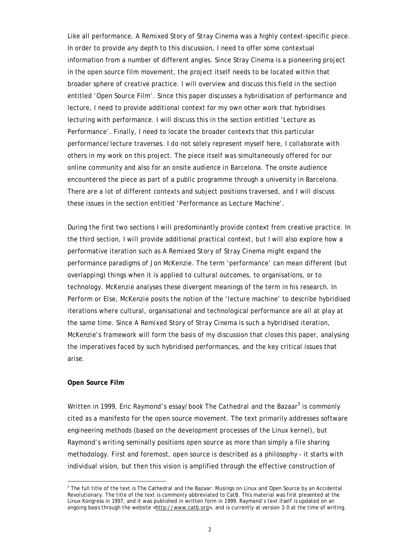Like all performance, *A Remixed Story of Stray Cinema* was a highly context-specific piece. In order to provide any depth to this discussion, I need to offer some contextual information from a number of different angles. Since Stray Cinema is a pioneering project in the open source film movement, the project itself needs to be located within that broader sphere of creative practice. I will overview and discuss this field in the section entitled 'Open Source Film'. Since this paper discusses a hybridisation of performance and lecture, I need to provide additional context for my own other work that hybridises lecturing with performance. I will discuss this in the section entitled 'Lecture as Performance'. Finally, I need to locate the broader contexts that this particular performance/lecture traverses. I do not solely represent myself here, I collaborate with others in my work on this project. The piece itself was simultaneously offered for our online community and also for an onsite audience in Barcelona. The onsite audience encountered the piece as part of a public programme through a university in Barcelona. There are a lot of different contexts and subject positions traversed, and I will discuss these issues in the section entitled 'Performance as Lecture Machine'.

During the first two sections I will predominantly provide context from creative practice. In the third section, I will provide additional practical context, but I will also explore how a performative iteration such as *A Remixed Story of Stray Cinema* might expand the performance paradigms of Jon McKenzie. The term 'performance' can mean different (but overlapping) things when it is applied to cultural outcomes, to organisations, or to technology. McKenzie analyses these divergent meanings of the term in his research. In *Perform or Else*, McKenzie posits the notion of the 'lecture machine' to describe hybridised iterations where cultural, organisational and technological performance are all at play at the same time. Since *A Remixed Story of Stray Cinema* is such a hybridised iteration, McKenzie's framework will form the basis of my discussion that closes this paper, analysing the imperatives faced by such hybridised performances, and the key critical issues that arise.

## **Open Source Film**

1

Written in 1999, Eric Raymond's essay/book *The Cathedral and the Bazaar<sup>5</sup>* is commonly cited as a manifesto for the open source movement. The text primarily addresses software engineering methods (based on the development processes of the Linux kernel), but Raymond's writing seminally positions open source as more than simply a file sharing methodology. First and foremost, open source is described as a philosophy - it starts with individual vision, but then this vision is amplified through the effective construction of

<sup>&</sup>lt;sup>5</sup> The full title of the text is *The Cathedral and the Bazaar: Musings on Linux and Open Source by an Accidental Revolutionary.* The title of the text is commonly abbreviated to *CatB*. This material was first presented at the *Linux Kongress* in 1997, and it was published in written form in 1999. Raymond's text itself is updated on an ongoing basis through the website <http://www.catb.org>, and is currently at version 3.0 at the time of writing.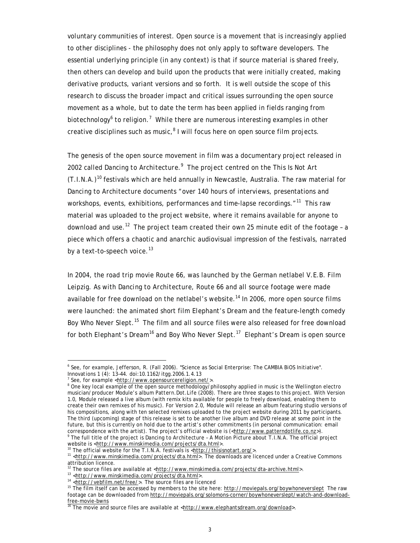voluntary communities of interest. Open source is a movement that is increasingly applied to other disciplines - the philosophy does not only apply to software developers. The essential underlying principle (in any context) is that if source material is shared freely, then others can develop and build upon the products that were initially created, making derivative products, variant versions and so forth. It is well outside the scope of this research to discuss the broader impact and critical issues surrounding the open source movement as a whole, but to date the term has been applied in fields ranging from biotechnology<sup>6</sup> to religion.<sup>7</sup> While there are numerous interesting examples in other creative disciplines such as music,<sup>8</sup> I will focus here on open source film projects.

The genesis of the open source movement in film was a documentary project released in 2002 called *Dancing to Architecture*. 9 The project centred on the *This Is Not Art*   $(T.I.N.A.)$ <sup>10</sup> festivals which are held annually in Newcastle, Australia. The raw material for *Dancing to Architecture* documents "over 140 hours of interviews, presentations and workshops, events, exhibitions, performances and time-lapse recordings."<sup>11</sup> This raw material was uploaded to the project website, where it remains available for anyone to download and use.<sup>12</sup> The project team created their own 25 minute edit of the footage - a piece which offers a chaotic and anarchic audiovisual impression of the festivals, narrated by a text-to-speech voice. $^{13}$ 

In 2004, the road trip movie *Route 66*, was launched by the German netlabel V.E.B. Film Leipzig. As with *Dancing to Architecture*, *Route 66* and all source footage were made available for free download on the netlabel's website.<sup>14</sup> In 2006, more open source films were launched: the animated short film *Elephant's Dream* and the feature-length comedy Boy Who Never Slept.<sup>15</sup> The film and all source files were also released for free download for both *Elephant's Dream*16 and *Boy Who Never Slept*. <sup>17</sup> *Elephant's Dream* is open source

<u>.</u>

<sup>&</sup>lt;sup>6</sup> See, for example, Jefferson, R. (Fall 2006). "Science as Social Enterprise: The CAMBIA BiOS Initiative". *Innovations 1* (4): 13–44. doi:10.1162/itgg.2006.1.4.13 7

<sup>&</sup>lt;sup>7</sup> See, for example <http://www.opensourcereligion.net/>

<sup>&</sup>lt;sup>8</sup> One key local example of the open source methodology/philosophy applied in music is the Wellington electro musician/producer Module's album *Pattern.Dot.Life* (2008). There are three stages to this project. With Version 1.0, Module released a live album (with remix kits available for people to freely download, enabling them to create their own remixes of his music). For Version 2.0, Module will release an album featuring studio versions of his compositions, along with ten selected remixes uploaded to the project website during 2011 by participants. The third (upcoming) stage of this release is set to be another live album and DVD release at some point in the future, but this is currently on hold due to the artist's other commitments (in personal communication: email correspondence with the artist). The project's official website is  $(\text{http://www.patterndotfile.co.nz}).$ <sup>9</sup> The full title of the project is *Dancing to Architecture - A Motion Picture about T.I.N.A.* The official project

website is <http://www.minskimedia.com/projects/dta.html>.<br><sup>10</sup> The official website for the T.I.N.A. festivals is <http://thisisnotart.org/>.<br><sup>11</sup> <http://www.minskimedia.com/projects/dta.html>. The downloads are licenced attribution licence.<br><sup>12</sup> The source files are available at <http://www.minskimedi<u>a.com/projects/dta-archive.html</u>>.

<sup>&</sup>lt;sup>13</sup> <http://www.minskimedia.com/projects/dta.html>.<br><sup>14</sup> <http://webfilm.net/free/>. The source files are licenced<br><sup>15</sup> The film itself can be accessed by members to the site here: http://moviepals.org/boywhoneverslept Th footage can be downloaded from http://moviepals.org/solomons-corner/boywhoneverslept/watch-and-download-<br>free-movie-bwns

 $^{\circ}$  The movie and source files are available at <http://www.elephantsdream.org/download>.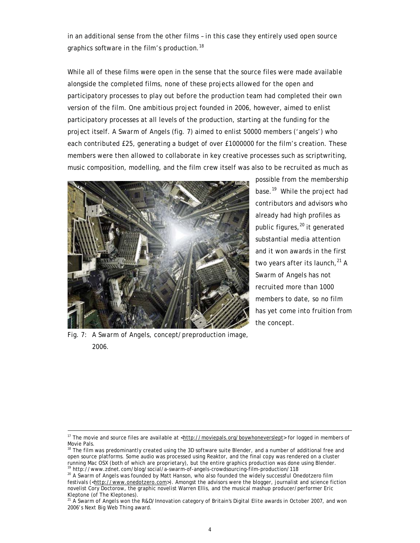in an additional sense from the other films – in this case they entirely used open source graphics software in the film's production.<sup>18</sup>

While all of these films were open in the sense that the source files were made available alongside the completed films, none of these projects allowed for the open and participatory processes to play out *before* the production team had completed their own version of the film. One ambitious project founded in 2006, however, aimed to enlist participatory processes at all levels of the production, starting at the funding for the project itself. *A Swarm of Angels* (fig. 7) aimed to enlist 50000 members ('angels') who each contributed £25, generating a budget of over £1000000 for the film's creation. These members were then allowed to collaborate in key creative processes such as scriptwriting, music composition, modelling, and the film crew itself was also to be recruited as much as



possible from the membership base.<sup>19</sup> While the project had contributors and advisors who already had high profiles as public figures,<sup>20</sup> it generated substantial media attention and it won awards in the first two years after its launch, <sup>21</sup> A *Swarm of Angels* has not recruited more than 1000 members to date, so no film has yet come into fruition from the concept.

Fig. 7: *A Swarm of Angels*, concept/preproduction image, 2006.

 $\overline{a}$ 

<sup>&</sup>lt;sup>17</sup> The movie and source files are available at < $http://moviepals.org/boywhoneverslept>$  for logged in members of Movie Pals.

<sup>&</sup>lt;sup>18</sup> The film was predominantly created using the 3D software suite Blender, and a number of additional free and open source platforms. Some audio was processed using Reaktor, and the final copy was rendered on a cluster running Mac OSX (both of which are proprietary), but the entire graphics production was done using Blender. 19 http://www.zdnet.com/blog/social/a-swarm-of-angels-crowdsourcing-film-production/118

<sup>20</sup> *A Swarm of Angels* was founded by Matt Hanson, who also founded the widely successful Onedotzero film festivals (<http://www.onedotzero.com>). Amongst the advisors were the blogger, journalist and science fiction novelist Cory Doctorow, the graphic novelist Warren Ellis, and the musical mashup producer/performer Eric Kleptone (of The Kleptones).

<sup>21</sup> *A Swarm of Angels* won the R&D/Innovation category of Britain's *Digital Elite* awards in October 2007, and won 2006's *Next Big Web Thing* award.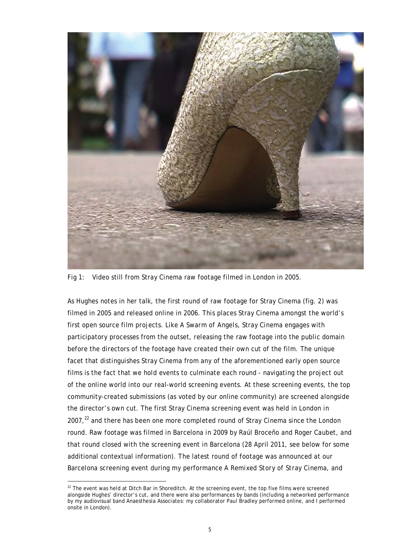

Fig 1: Video still from Stray Cinema raw footage filmed in London in 2005.

As Hughes notes in her talk, the first round of raw footage for Stray Cinema (fig. 2) was filmed in 2005 and released online in 2006. This places Stray Cinema amongst the world's first open source film projects. Like *A Swarm of Angels*, Stray Cinema engages with participatory processes from the outset, releasing the raw footage into the public domain before the directors of the footage have created their own cut of the film. The unique facet that distinguishes Stray Cinema from any of the aforementioned early open source films is the fact that we hold events to culminate each round - navigating the project out of the online world into our real-world screening events. At these screening events, the top community-created submissions (as voted by our online community) are screened alongside the director's own cut. The first Stray Cinema screening event was held in London in  $2007<sub>,22</sub>$  and there has been one more completed round of Stray Cinema since the London round. Raw footage was filmed in Barcelona in 2009 by Raúl Broceño and Roger Caubet, and that round closed with the screening event in Barcelona (28 April 2011, see below for some additional contextual information). The latest round of footage was announced at our Barcelona screening event during my performance *A Remixed Story of Stray Cinema*, and

<sup>1</sup>  $22$  The event was held at Ditch Bar in Shoreditch. At the screening event, the top five films were screened alongside Hughes' director's cut, and there were also performances by bands (including a networked performance by my audiovisual band Anaesthesia Associates: my collaborator Paul Bradley performed online, and I performed onsite in London).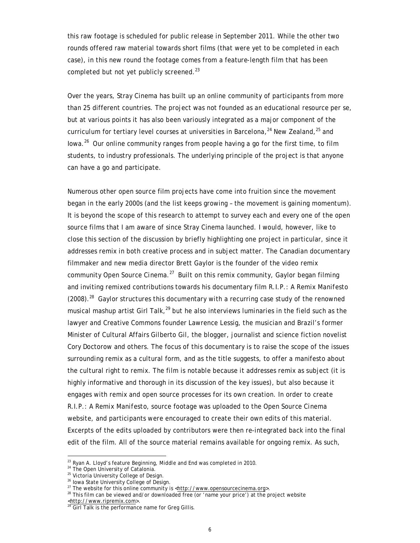this raw footage is scheduled for public release in September 2011. While the other two rounds offered raw material towards short films (that were yet to be completed in each case), in this new round the footage comes from a feature-length film that has been completed but not yet publicly screened.<sup>23</sup>

Over the years, Stray Cinema has built up an online community of participants from more than 25 different countries. The project was not founded as an educational resource *per se*, but at various points it has also been variously integrated as a major component of the curriculum for tertiary level courses at universities in Barcelona,<sup>24</sup> New Zealand,<sup>25</sup> and Iowa.26 Our online community ranges from people having a go for the first time, to film students, to industry professionals. The underlying principle of the project is that anyone can have a go and participate.

Numerous other open source film projects have come into fruition since the movement began in the early 2000s (and the list keeps growing – the movement is gaining momentum). It is beyond the scope of this research to attempt to survey each and every one of the open source films that I am aware of since Stray Cinema launched. I would, however, like to close this section of the discussion by briefly highlighting one project in particular, since it addresses remix in both creative process and in subject matter. The Canadian documentary filmmaker and new media director Brett Gaylor is the founder of the video remix community *Open Source Cinema*. 27 Built on this remix community, Gaylor began filming and inviting remixed contributions towards his documentary film *R.I.P.: A Remix Manifesto*  $(2008).^{28}$  Gaylor structures this documentary with a recurring case study of the renowned musical mashup artist Girl Talk, $^{29}$  but he also interviews luminaries in the field such as the lawyer and Creative Commons founder Lawrence Lessig, the musician and Brazil's former Minister of Cultural Affairs Gilberto Gil, the blogger, journalist and science fiction novelist Cory Doctorow and others. The focus of this documentary is to raise the scope of the issues surrounding remix as a cultural form, and as the title suggests, to offer a manifesto about the cultural right to remix. The film is notable because it addresses remix as subject (it is highly informative and thorough in its discussion of the key issues), but also because it engages with remix and open source processes for its own creation. In order to create *R.I.P.: A Remix Manifesto*, source footage was uploaded to the *Open Source Cinema* website, and participants were encouraged to create their own edits of this material. Excerpts of the edits uploaded by contributors were then re-integrated back into the final edit of the film. All of the source material remains available for ongoing remix. As such,

<u>.</u>

<sup>&</sup>lt;sup>23</sup> Ryan A. Lloyd's feature *Beginning, Middle and End* was completed in 2010.<br><sup>24</sup> The Open University of Catalonia.

<sup>&</sup>lt;sup>25</sup> Victoria University College of Design.

<sup>&</sup>lt;sup>26</sup> Iowa State University College of Design.<br><sup>27</sup> The website for this online community is < $\frac{http://www.opensourcecinema.org>}{http://www.opensourcecinema.org>}.$ 

<sup>&</sup>lt;sup>28</sup> This film can be viewed and/or downloaded free (or 'name your price') at the project website

<sup>&</sup>lt;http://www.ripremix.com>.<br><sup>29</sup> Girl Talk is the performance name for Greg Gillis.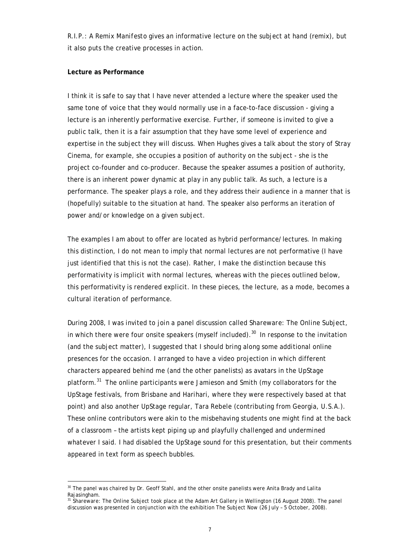*R.I.P.: A Remix Manifesto* gives an informative lecture on the subject at hand (remix), but it also puts the creative processes in action.

# **Lecture as Performance**

1

I think it is safe to say that I have never attended a lecture where the speaker used the same tone of voice that they would normally use in a face-to-face discussion - giving a lecture is an inherently performative exercise. Further, if someone is invited to give a public talk, then it is a fair assumption that they have some level of experience and expertise in the subject they will discuss. When Hughes gives a talk about the story of Stray Cinema, for example, she occupies a position of authority on the subject - she is the project co-founder and co-producer. Because the speaker assumes a position of authority, there is an inherent power dynamic at play in any public talk. As such, a lecture is a performance. The speaker plays a role, and they address their audience in a manner that is (hopefully) suitable to the situation at hand. The speaker also performs an iteration of power and/or knowledge on a given subject.

The examples I am about to offer are located as hybrid performance/lectures. In making this distinction, I do not mean to imply that normal lectures are not performative (I have just identified that this is not the case). Rather, I make the distinction because this performativity is *implicit* with normal lectures, whereas with the pieces outlined below, this performativity is rendered *explicit*. In these pieces, the lecture, as a mode, becomes a cultural iteration of performance.

During 2008, I was invited to join a panel discussion called *Shareware: The Online Subject*, in which there were four onsite speakers (myself included).<sup>30</sup> In response to the invitation (and the subject matter), I suggested that I should bring along some additional online presences for the occasion. I arranged to have a video projection in which different characters appeared behind me (and the other panelists) as avatars in the UpStage platform.31 The online participants were Jamieson and Smith (my collaborators for the UpStage festivals, from Brisbane and Harihari, where they were respectively based at that point) and also another UpStage regular, Tara Rebele (contributing from Georgia, U.S.A.). These online contributors were akin to the misbehaving students one might find at the back of a classroom – the artists kept piping up and playfully challenged and undermined whatever I said. I had disabled the UpStage sound for this presentation, but their comments appeared in text form as speech bubbles.

<sup>&</sup>lt;sup>30</sup> The panel was chaired by Dr. Geoff Stahl, and the other onsite panelists were Anita Brady and Lalita Rajasingham.

<sup>31</sup> *Shareware: The Online Subject* took place at the Adam Art Gallery in Wellington (16 August 2008). The panel discussion was presented in conjunction with the exhibition *The Subject Now* (26 July – 5 October, 2008).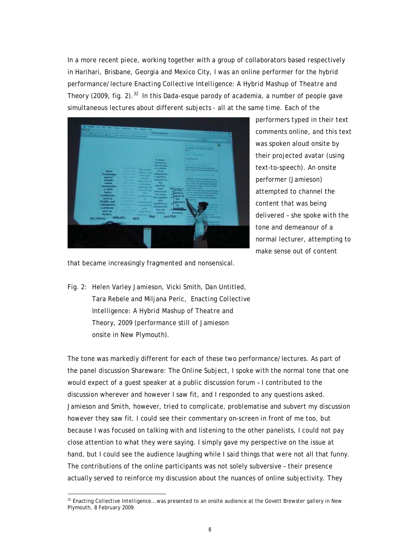In a more recent piece, working together with a group of collaborators based respectively in Harihari, Brisbane, Georgia and Mexico City, I was an online performer for the hybrid performance/lecture *Enacting Collective Intelligence: A Hybrid Mashup of Theatre and Theory* (2009, fig. 2).<sup>32</sup> In this Dada-esque parody of academia, a number of people gave simultaneous lectures about different subjects - all at the same time. Each of the

performers typed in their text comments online, and this text was spoken aloud onsite by their projected avatar (using text-to-speech). An onsite performer (Jamieson) attempted to channel the content that was being delivered – she spoke with the tone and demeanour of a normal lecturer, attempting to make sense out of content

that became increasingly fragmented and nonsensical.

Fig. 2: Helen Varley Jamieson, Vicki Smith, Dan Untitled, Tara Rebele and Miljana Peric, *Enacting Collective Intelligence: A Hybrid Mashup of Theatre and Theory*, 2009 (performance still of Jamieson onsite in New Plymouth).

1

The tone was markedly different for each of these two performance/lectures. As part of the panel discussion *Shareware: The Online Subject*, I spoke with the normal tone that one would expect of a guest speaker at a public discussion forum – I contributed to the discussion wherever and however I saw fit, and I responded to any questions asked. Jamieson and Smith, however, tried to complicate, problematise and subvert my discussion however they saw fit. I could see their commentary on-screen in front of me too, but because I was focused on talking with and listening to the other panelists, I could not pay close attention to what they were saying. I simply gave my perspective on the issue at hand, but I could see the audience laughing while I said things that were not all that funny. The contributions of the online participants was not solely subversive – their presence actually served to reinforce my discussion about the nuances of online subjectivity. They

<sup>32</sup> *Enacting Collective Intelligence…* was presented to an onsite audience at the Govett Brewster gallery in New Plymouth, 8 February 2009.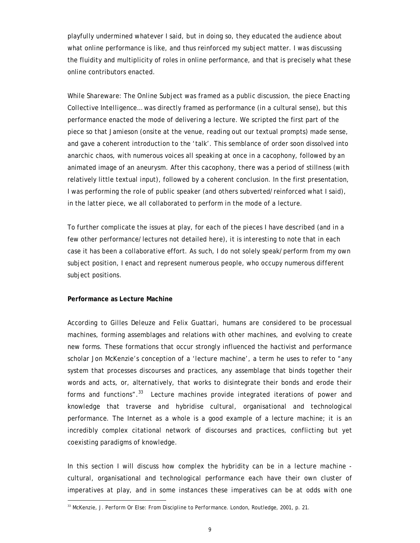playfully undermined whatever I said, but in doing so, they educated the audience about what online performance is like, and thus reinforced my subject matter. I was discussing the fluidity and multiplicity of roles in online performance, and that is precisely what these online contributors enacted.

While *Shareware: The Online Subject* was framed as a public discussion, the piece *Enacting Collective Intelligence…* was directly framed as performance (in a cultural sense), but this performance enacted the mode of delivering a lecture. We scripted the first part of the piece so that Jamieson (onsite at the venue, reading out our textual prompts) made sense, and gave a coherent introduction to the 'talk'. This semblance of order soon dissolved into anarchic chaos, with numerous voices all speaking at once in a cacophony, followed by an animated image of an aneurysm. After this cacophony, there was a period of stillness (with relatively little textual input), followed by a coherent conclusion. In the first presentation, I was performing the *role* of public speaker (and others subverted/reinforced what I said), in the latter piece, we all collaborated to perform in the *mode* of a lecture.

To further complicate the issues at play, for each of the pieces I have described (and in a few other performance/lectures not detailed here), it is interesting to note that in each case it has been a collaborative effort. As such, I do not solely speak/perform from my own subject position, I enact and represent numerous people, who occupy numerous different subject positions.

## **Performance as Lecture Machine**

1

According to Gilles Deleuze and Felix Guattari, humans are considered to be processual machines, forming assemblages and relations with other machines, and evolving to create new forms. These formations that occur strongly influenced the hactivist and performance scholar Jon McKenzie's conception of a 'lecture machine', a term he uses to refer to "any system that processes discourses and practices, any assemblage that binds together their words and acts, or, alternatively, that works to disintegrate their bonds and erode their forms and functions".33 Lecture machines provide integrated iterations of power and knowledge that traverse and hybridise cultural, organisational and technological performance. The Internet as a whole is a good example of a lecture machine; it is an incredibly complex citational network of discourses and practices, conflicting but yet coexisting paradigms of knowledge.

In this section I will discuss how complex the hybridity can be in a lecture machine cultural, organisational and technological performance each have their own cluster of imperatives at play, and in some instances these imperatives can be at odds with one

<sup>33</sup> McKenzie, J. *Perform Or Else: From Discipline to Performance*. London, Routledge, 2001, p. 21.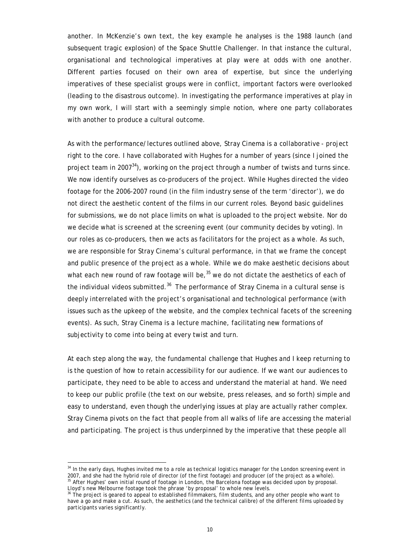another. In McKenzie's own text, the key example he analyses is the 1988 launch (and subsequent tragic explosion) of the Space Shuttle Challenger. In that instance the cultural, organisational and technological imperatives at play were at odds with one another. Different parties focused on their own area of expertise, but since the underlying imperatives of these specialist groups were in conflict, important factors were overlooked (leading to the disastrous outcome). In investigating the performance imperatives at play in my own work, I will start with a seemingly simple notion, where one party collaborates with another to produce a cultural outcome.

As with the performance/lectures outlined above, Stray Cinema is a collaborative - project right to the core. I have collaborated with Hughes for a number of years (since I joined the project team in 2007 $^{34}$ ), working on the project through a number of twists and turns since. We now identify ourselves as co-producers of the project. While Hughes directed the video footage for the 2006-2007 round (in the film industry sense of the term 'director'), we do not direct the aesthetic content of the films in our current roles. Beyond basic guidelines for submissions, we do not place limits on what is uploaded to the project website. Nor do we decide what is screened at the screening event (our community decides by voting). In our roles as co-producers, then we acts as facilitators for the project as a whole. As such, we are responsible for Stray Cinema's cultural performance, in that we frame the concept and public presence of the project as a whole. While we do make aesthetic decisions about what each new round of raw footage will be,  $35$  we do not dictate the aesthetics of each of the individual videos submitted.<sup>36</sup> The performance of Stray Cinema in a cultural sense is deeply interrelated with the project's organisational and technological performance (with issues such as the upkeep of the website, and the complex technical facets of the screening events). As such, Stray Cinema is a lecture machine, facilitating new formations of subjectivity to come into being at every twist and turn.

At each step along the way, the fundamental challenge that Hughes and I keep returning to is the question of how to retain accessibility for our audience. If we want our audiences to participate, they need to be able to access and understand the material at hand. We need to keep our public profile (the text on our website, press releases, and so forth) simple and easy to understand, even though the underlying issues at play are actually rather complex. Stray Cinema pivots on the fact that people from all walks of life are accessing the material and participating. The project is thus underpinned by the imperative that these people all

<u>.</u>

<sup>&</sup>lt;sup>34</sup> In the early days. Hughes invited me to a role as technical logistics manager for the London screening event in 2007, and she had the hybrid role of director (of the first footage) and producer (of the project as a whole). <sup>35</sup> After Hughes' own initial round of footage in London, the Barcelona footage was decided upon by proposal. Lloyd's new Melbourne footage took the phrase 'by proposal' to whole new levels.

 $36$  The project is geared to appeal to established filmmakers, film students, and any other people who want to have a go and make a cut. As such, the aesthetics (and the technical calibre) of the different films uploaded by participants varies significantly.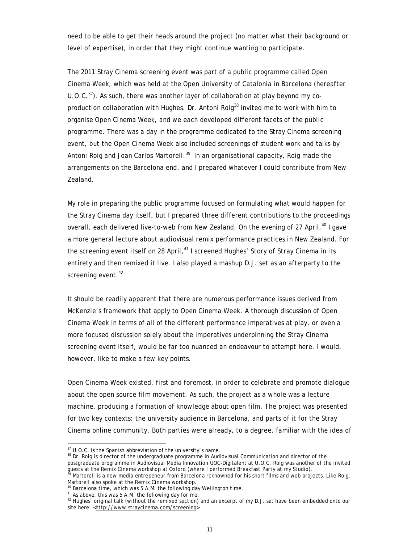need to be able to get their heads around the project (no matter what their background or level of expertise), in order that they might continue wanting to participate.

The 2011 Stray Cinema screening event was part of a public programme called *Open Cinema Week*, which was held at the Open University of Catalonia in Barcelona (hereafter U.O.C. $37$ ). As such, there was another layer of collaboration at play beyond my coproduction collaboration with Hughes. Dr. Antoni Roig<sup>38</sup> invited me to work with him to organise *Open Cinema Week*, and we each developed different facets of the public programme. There was a day in the programme dedicated to the Stray Cinema screening event, but the *Open Cinema Week* also included screenings of student work and talks by Antoni Roig and Joan Carlos Martorell.<sup>39</sup> In an organisational capacity, Roig made the arrangements on the Barcelona end, and I prepared whatever I could contribute from New Zealand.

My role in preparing the public programme focused on formulating what would happen for the Stray Cinema day itself, but I prepared three different contributions to the proceedings overall, each delivered live-to-web from New Zealand. On the evening of 27 April,<sup>40</sup> I gave a more general lecture about audiovisual remix performance practices in New Zealand. For the screening event itself on 28 April,<sup>41</sup> I screened Hughes' *Story of Stray Cinema* in its entirety and then remixed it live. I also played a mashup D.J. set as an afterparty to the screening event.<sup>42</sup>

It should be readily apparent that there are numerous performance issues derived from McKenzie's framework that apply to *Open Cinema Week*. A thorough discussion of *Open Cinema Week* in terms of all of the different performance imperatives at play, or even a more focused discussion solely about the imperatives underpinning the Stray Cinema screening event itself, would be far too nuanced an endeavour to attempt here. I would, however, like to make a few key points.

*Open Cinema Week* existed, first and foremost, in order to celebrate and promote dialogue about the open source film movement. As such, the project as a whole was a lecture machine, producing a formation of knowledge about open film. The project was presented for two key contexts: the university audience in Barcelona, and parts of it for the Stray Cinema online community. Both parties were already, to a degree, familiar with the idea of

1

 $37$  U.O.C. is the Spanish abbreviation of the university's name.

<sup>&</sup>lt;sup>38</sup> Dr. Roig is director of the undergraduate programme in Audiovisual Communication and director of the postgraduate programme in Audiovisual Media Innovation UOC-Digitalent at U.O.C. Roig was another of the invited<br>guests at the Remix Cinema workshop at Oxford (where I performed Breakfast Party at my Studio).

<sup>&</sup>lt;sup>39</sup> Martorell is a new media entrepeneur from Barcelona reknowned for his short films and web projects. Like Roig,<br>Martorell also spoke at the *Remix Cinema* workshop.

<sup>&</sup>lt;sup>40</sup> Barcelona time, which was 5 A.M. the following day Wellington time.

<sup>&</sup>lt;sup>41</sup> As above, this was 5 A.M. the following day for me.

<sup>&</sup>lt;sup>42</sup> Hughes' original talk (without the remixed section) and an excerpt of my D.J. set have been embedded onto our site here: <http://www.straycinema.com/screening>.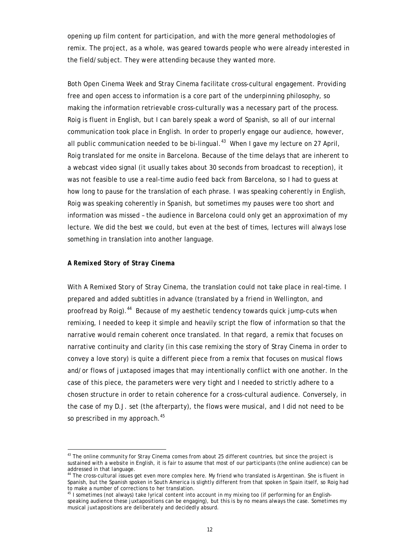opening up film content for participation, and with the more general methodologies of remix. The project, as a whole, was geared towards people who were already interested in the field/subject. They were attending because they wanted more.

Both *Open Cinema Week* and Stray Cinema facilitate cross-cultural engagement. Providing free and open access to information is a core part of the underpinning philosophy, so making the information retrievable cross-culturally was a necessary part of the process. Roig is fluent in English, but I can barely speak a word of Spanish, so all of our internal communication took place in English. In order to properly engage our audience, however, all public communication needed to be bi-lingual. $43$  When I gave my lecture on 27 April, Roig translated for me onsite in Barcelona. Because of the time delays that are inherent to a webcast video signal (it usually takes about 30 seconds from broadcast to reception), it was not feasible to use a real-time audio feed back from Barcelona, so I had to guess at how long to pause for the translation of each phrase. I was speaking coherently in English, Roig was speaking coherently in Spanish, but sometimes my pauses were too short and information was missed – the audience in Barcelona could only get an approximation of my lecture. We did the best we could, but even at the best of times, lectures will always lose something in translation into another language.

#### *A Remixed Story of Stray Cinema*

<u>.</u>

With *A Remixed Story of Stray Cinema*, the translation could not take place in real-time. I prepared and added subtitles in advance (translated by a friend in Wellington, and proofread by Roig).44 Because of my aesthetic tendency towards quick jump-cuts when remixing, I needed to keep it simple and heavily script the flow of information so that the narrative would remain coherent once translated. In that regard, a remix that focuses on narrative continuity and clarity (in this case remixing the story of Stray Cinema in order to convey a love story) is quite a different piece from a remix that focuses on musical flows and/or flows of juxtaposed images that may intentionally conflict with one another. In the case of this piece, the parameters were very tight and I needed to strictly adhere to a chosen structure in order to retain coherence for a cross-cultural audience. Conversely, in the case of my D.J. set (the afterparty), the flows were musical, and I did not need to be so prescribed in my approach.<sup>45</sup>

<sup>&</sup>lt;sup>43</sup> The online community for Stray Cinema comes from about 25 different countries, but since the project is sustained with a website in English, it is fair to assume that most of our participants (the online audience) can be addressed in that language.

<sup>&</sup>lt;sup>44</sup> The cross-cultural issues get even more complex here. My friend who translated is Argentinan. She is fluent in Spanish, but the Spanish spoken in South America is slightly different from that spoken in Spain itself, so Roig had to make a number of corrections to her translation.

<sup>&</sup>lt;sup>45</sup> I sometimes (not always) take lyrical content into account in my mixing too (if performing for an Englishspeaking audience these juxtapositions can be engaging), but this is by no means always the case. Sometimes my musical juxtapositions are deliberately and decidedly absurd.